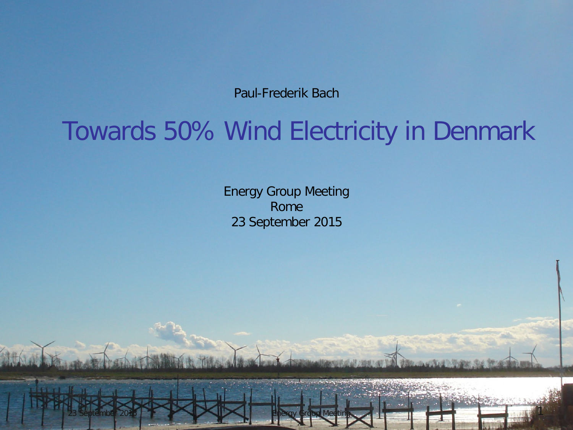Paul-Frederik Bach

## Towards 50% Wind Electricity in Denmark

Energy Group Meeting Rome 23 September 2015

23 September 2015 Processes and December 2015 Processes and December 2016 Processes and December 2016 Processes

Paul-Frederik Bach http://pfbach.dk/ +45 75 56 26 41 mail@pfbach.dk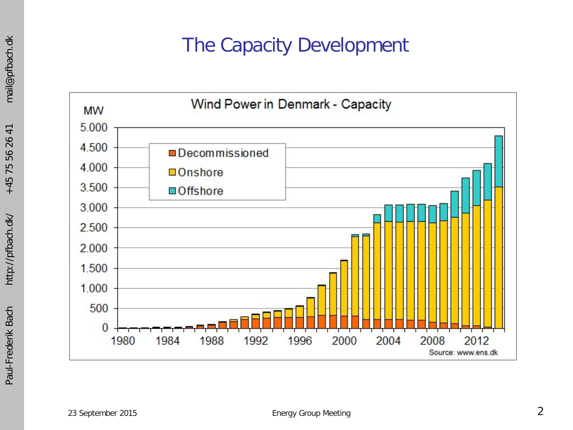## The Capacity Development

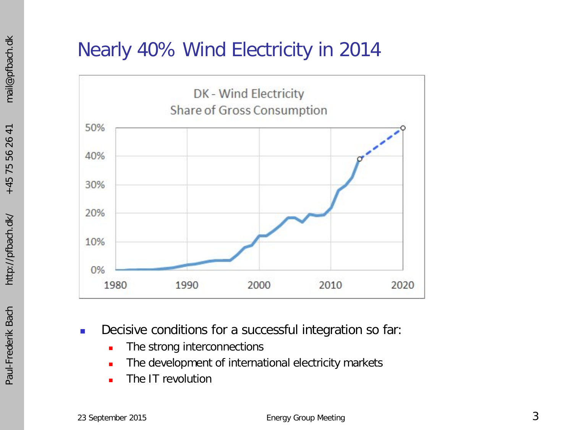## Nearly 40% Wind Electricity in 2014



- Decisive conditions for a successful integration so far:
	- **The strong interconnections**
	- The development of international electricity markets
	- The IT revolution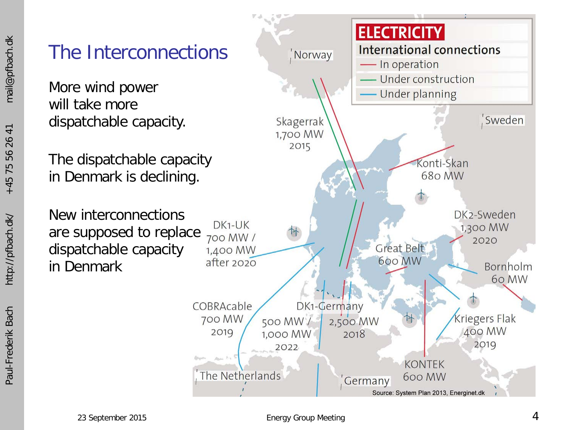### 26 41 56 75  $+45$



More wind power will take more dispatchable capacity.

The dispatchable capacity in Denmark is declining.

New interconnections are supposed to replace dispatchable capacity in Denmark

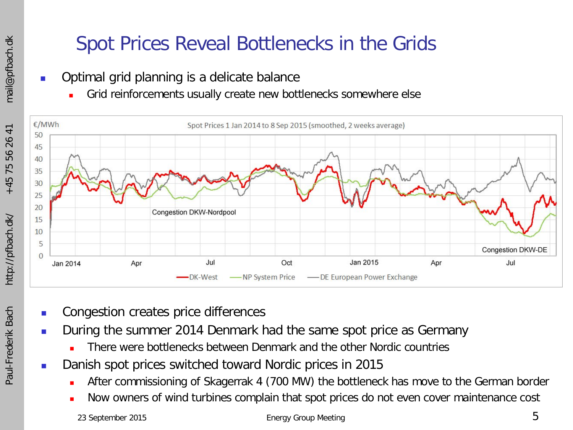## Spot Prices Reveal Bottlenecks in the Grids

- Optimal grid planning is a delicate balance
	- Grid reinforcements usually create new bottlenecks somewhere else



- Congestion creates price differences
- During the summer 2014 Denmark had the same spot price as Germany
	- There were bottlenecks between Denmark and the other Nordic countries
- Danish spot prices switched toward Nordic prices in 2015
	- After commissioning of Skagerrak 4 (700 MW) the bottleneck has move to the German border
	- Now owners of wind turbines complain that spot prices do not even cover maintenance cost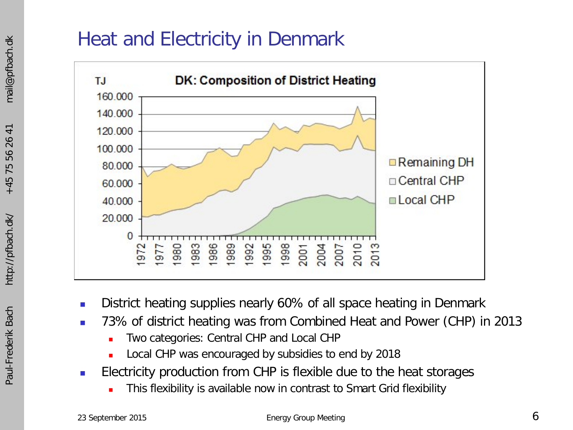## Heat and Electricity in Denmark



- **District heating supplies nearly 60% of all space heating in Denmark**
- 73% of district heating was from Combined Heat and Power (CHP) in 2013
	- Two categories: Central CHP and Local CHP
	- Local CHP was encouraged by subsidies to end by 2018
- **Electricity production from CHP is flexible due to the heat storages** 
	- This flexibility is available now in contrast to Smart Grid flexibility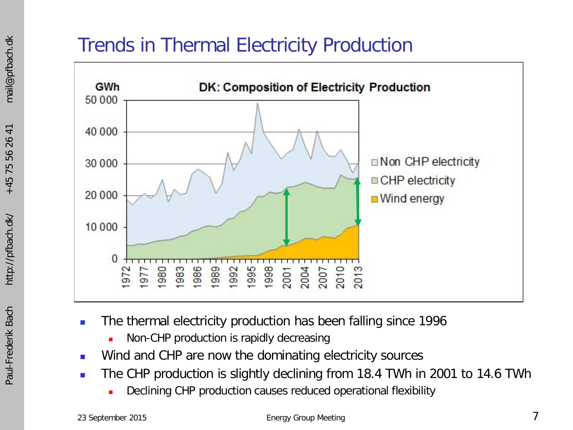## Trends in Thermal Electricity Production



- The thermal electricity production has been falling since 1996
	- Non-CHP production is rapidly decreasing
- **Number 1** Wind and CHP are now the dominating electricity sources
- The CHP production is slightly declining from 18.4 TWh in 2001 to 14.6 TWh
	- Declining CHP production causes reduced operational flexibility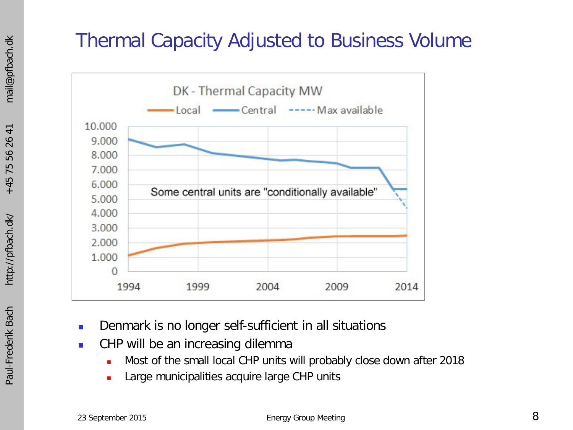## Thermal Capacity Adjusted to Business Volume



- **Denmark is no longer self-sufficient in all situations**
- **CHP** will be an increasing dilemma
	- Most of the small local CHP units will probably close down after 2018
	- Large municipalities acquire large CHP units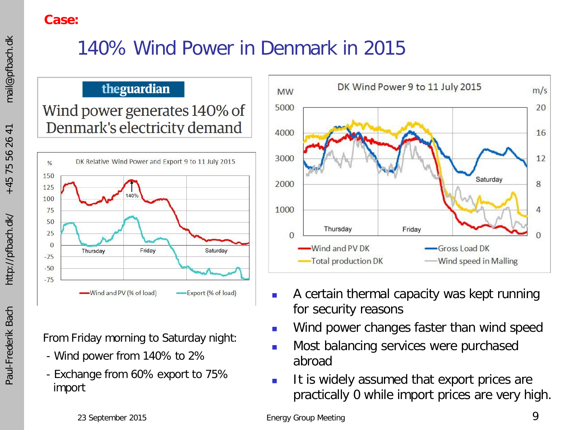#### **Case:**

## 140% Wind Power in Denmark in 2015

#### theguardian

Wind power generates 140% of Denmark's electricity demand



From Friday morning to Saturday night:

- Wind power from 140% to 2%
- Exchange from 60% export to 75% import



- A certain thermal capacity was kept running for security reasons
- Wind power changes faster than wind speed
- Most balancing services were purchased abroad
- It is widely assumed that export prices are practically 0 while import prices are very high.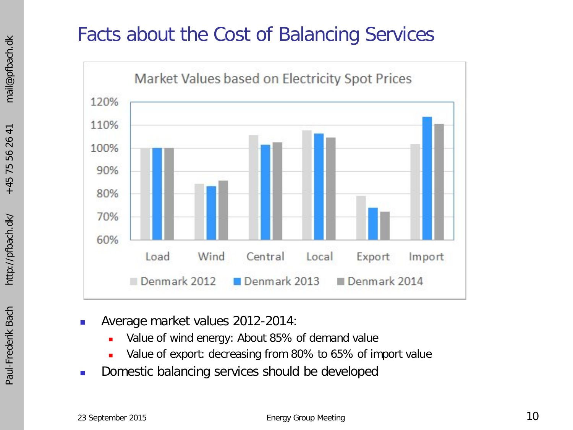## Facts about the Cost of Balancing Services



- -
	-
- Average market values 2012-2014:<br>
 Value of wind energy: About 85% of demand value<br>
 Value of export: decreasing from 80% to 65% of import value<br>
 Domestic balancing services should be developed<br>
23 September 2015<br>
E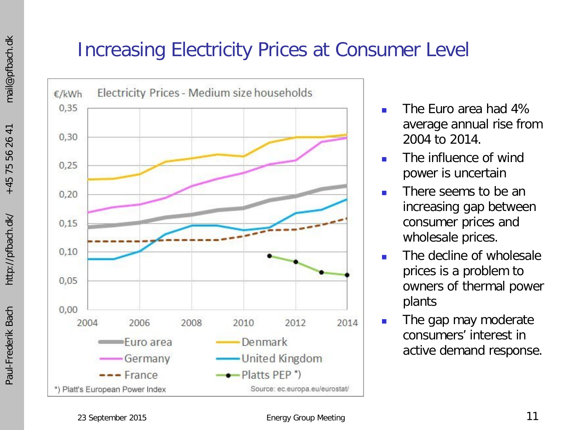## Increasing Electricity Prices at Consumer Level



- The Euro area had 4% average annual rise from 2004 to 2014.
- The influence of wind power is uncertain
- There seems to be an increasing gap between consumer prices and wholesale prices.
- The decline of wholesale prices is a problem to owners of thermal power plants
- **The gap may moderate** consumers' interest in active demand response.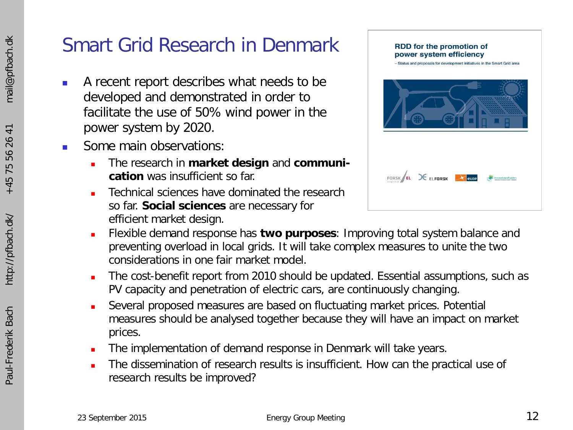## Smart Grid Research in Denmark

- A recent report describes what needs to be developed and demonstrated in order to facilitate the use of 50% wind power in the power system by 2020.
- Some main observations:
	- The research in **market design** and **communication** was insufficient so far.
	- Technical sciences have dominated the research so far. **Social sciences** are necessary for efficient market design.



- Flexible demand response has **two purposes**: Improving total system balance and preventing overload in local grids. It will take complex measures to unite the two considerations in one fair market model.
- The cost-benefit report from 2010 should be updated. Essential assumptions, such as PV capacity and penetration of electric cars, are continuously changing.
- Several proposed measures are based on fluctuating market prices. Potential measures should be analysed together because they will have an impact on market prices.
- The implementation of demand response in Denmark will take years.
- The dissemination of research results is insufficient. How can the practical use of research results be improved?